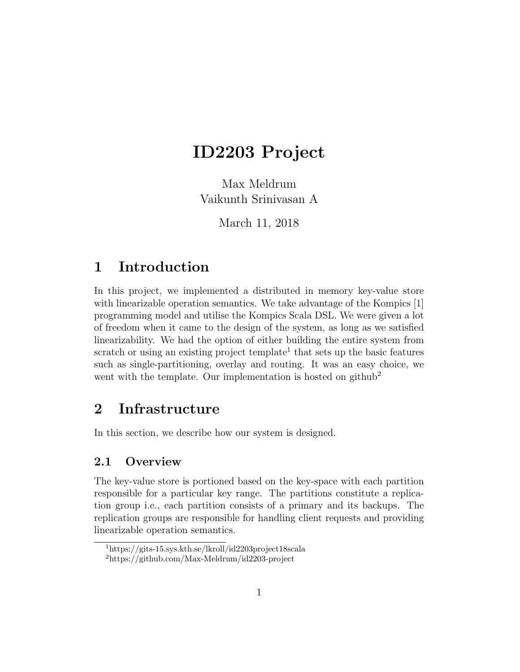# ID2203 Project

Max Meldrum Vaikunth Srinivasan A

March 11, 2018

# 1 Introduction

In this project, we implemented a distributed in memory key-value store with linearizable operation semantics. We take advantage of the Kompics [1] programming model and utilise the Kompics Scala DSL. We were given a lot of freedom when it came to the design of the system, as long as we satisfied linearizability. We had the option of either building the entire system from scratch or using an existing project template<sup>1</sup> that sets up the basic features such as single-partitioning, overlay and routing. It was an easy choice, we went with the template. Our implementation is hosted on github<sup>2</sup>

# 2 Infrastructure

In this section, we describe how our system is designed.

### 2.1 Overview

The key-value store is portioned based on the key-space with each partition responsible for a particular key range. The partitions constitute a replication group i.e., each partition consists of a primary and its backups. The replication groups are responsible for handling client requests and providing linearizable operation semantics.

<sup>1</sup>https://gits-15.sys.kth.se/lkroll/id2203project18scala

<sup>2</sup>https://github.com/Max-Meldrum/id2203-project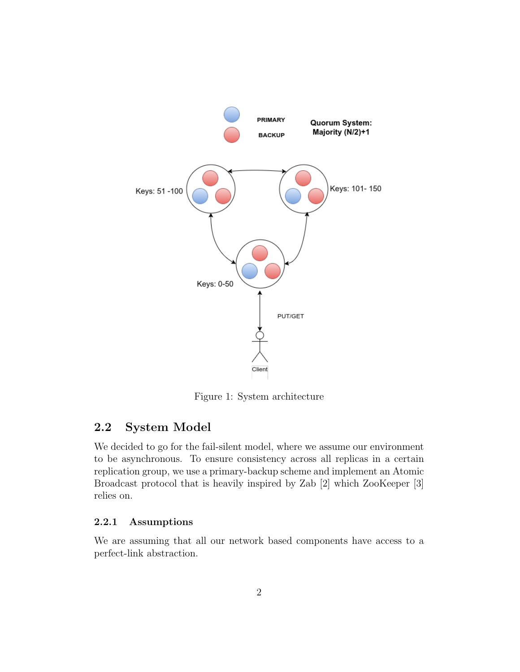

Figure 1: System architecture

#### 2.2 System Model

We decided to go for the fail-silent model, where we assume our environment to be asynchronous. To ensure consistency across all replicas in a certain replication group, we use a primary-backup scheme and implement an Atomic Broadcast protocol that is heavily inspired by Zab [2] which ZooKeeper [3] relies on.

#### 2.2.1 Assumptions

We are assuming that all our network based components have access to a perfect-link abstraction.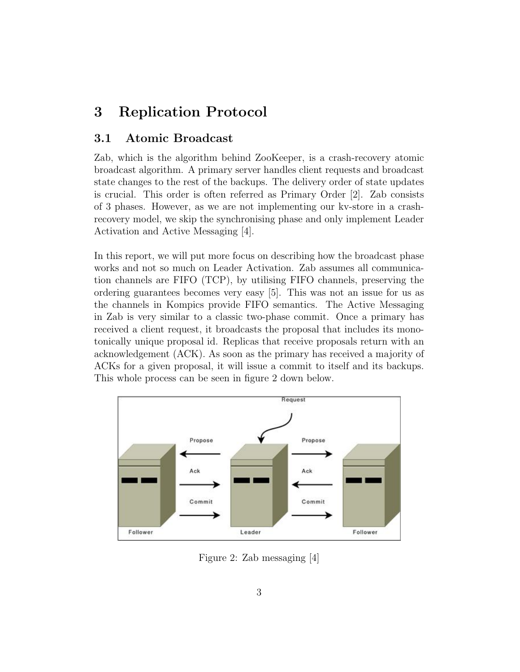### 3 Replication Protocol

#### 3.1 Atomic Broadcast

Zab, which is the algorithm behind ZooKeeper, is a crash-recovery atomic broadcast algorithm. A primary server handles client requests and broadcast state changes to the rest of the backups. The delivery order of state updates is crucial. This order is often referred as Primary Order [2]. Zab consists of 3 phases. However, as we are not implementing our kv-store in a crashrecovery model, we skip the synchronising phase and only implement Leader Activation and Active Messaging [4].

In this report, we will put more focus on describing how the broadcast phase works and not so much on Leader Activation. Zab assumes all communication channels are FIFO (TCP), by utilising FIFO channels, preserving the ordering guarantees becomes very easy [5]. This was not an issue for us as the channels in Kompics provide FIFO semantics. The Active Messaging in Zab is very similar to a classic two-phase commit. Once a primary has received a client request, it broadcasts the proposal that includes its monotonically unique proposal id. Replicas that receive proposals return with an acknowledgement (ACK). As soon as the primary has received a majority of ACKs for a given proposal, it will issue a commit to itself and its backups. This whole process can be seen in figure 2 down below.



Figure 2: Zab messaging [4]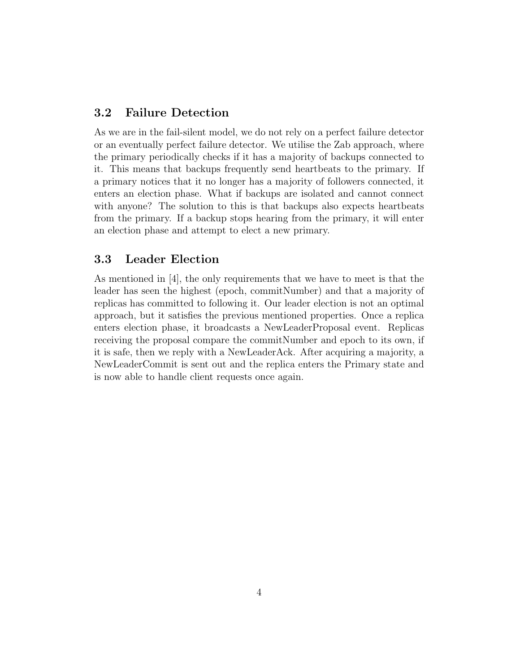#### 3.2 Failure Detection

As we are in the fail-silent model, we do not rely on a perfect failure detector or an eventually perfect failure detector. We utilise the Zab approach, where the primary periodically checks if it has a majority of backups connected to it. This means that backups frequently send heartbeats to the primary. If a primary notices that it no longer has a majority of followers connected, it enters an election phase. What if backups are isolated and cannot connect with anyone? The solution to this is that backups also expects heartbeats from the primary. If a backup stops hearing from the primary, it will enter an election phase and attempt to elect a new primary.

#### 3.3 Leader Election

As mentioned in [4], the only requirements that we have to meet is that the leader has seen the highest (epoch, commitNumber) and that a majority of replicas has committed to following it. Our leader election is not an optimal approach, but it satisfies the previous mentioned properties. Once a replica enters election phase, it broadcasts a NewLeaderProposal event. Replicas receiving the proposal compare the commitNumber and epoch to its own, if it is safe, then we reply with a NewLeaderAck. After acquiring a majority, a NewLeaderCommit is sent out and the replica enters the Primary state and is now able to handle client requests once again.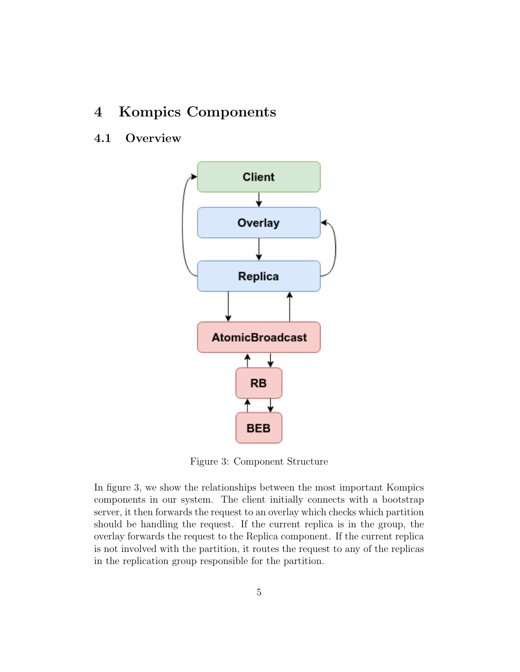### 4 Kompics Components

### 4.1 Overview



Figure 3: Component Structure

In figure 3, we show the relationships between the most important Kompics components in our system. The client initially connects with a bootstrap server, it then forwards the request to an overlay which checks which partition should be handling the request. If the current replica is in the group, the overlay forwards the request to the Replica component. If the current replica is not involved with the partition, it routes the request to any of the replicas in the replication group responsible for the partition.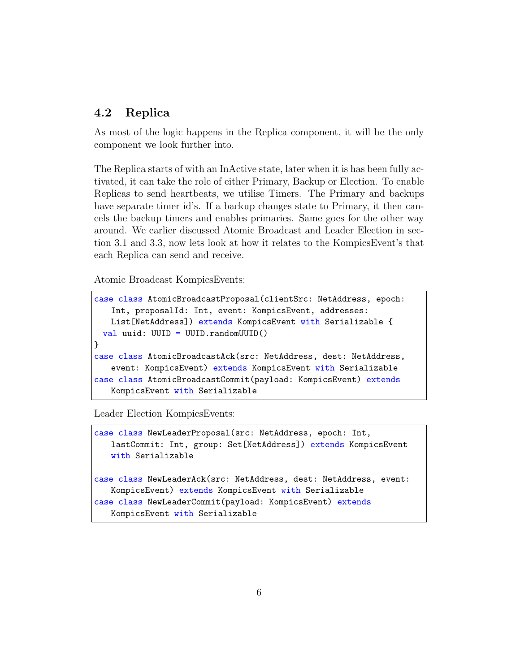### 4.2 Replica

As most of the logic happens in the Replica component, it will be the only component we look further into.

The Replica starts of with an InActive state, later when it is has been fully activated, it can take the role of either Primary, Backup or Election. To enable Replicas to send heartbeats, we utilise Timers. The Primary and backups have separate timer id's. If a backup changes state to Primary, it then cancels the backup timers and enables primaries. Same goes for the other way around. We earlier discussed Atomic Broadcast and Leader Election in section 3.1 and 3.3, now lets look at how it relates to the KompicsEvent's that each Replica can send and receive.

Atomic Broadcast KompicsEvents:

```
case class AtomicBroadcastProposal(clientSrc: NetAddress, epoch:
   Int, proposalId: Int, event: KompicsEvent, addresses:
   List[NetAddress]) extends KompicsEvent with Serializable {
 val uuid: UUID = UUID.randomUUID()
}
case class AtomicBroadcastAck(src: NetAddress, dest: NetAddress,
   event: KompicsEvent) extends KompicsEvent with Serializable
case class AtomicBroadcastCommit(payload: KompicsEvent) extends
   KompicsEvent with Serializable
```
Leader Election KompicsEvents:

case class NewLeaderProposal(src: NetAddress, epoch: Int, lastCommit: Int, group: Set[NetAddress]) extends KompicsEvent with Serializable case class NewLeaderAck(src: NetAddress, dest: NetAddress, event: KompicsEvent) extends KompicsEvent with Serializable case class NewLeaderCommit(payload: KompicsEvent) extends

KompicsEvent with Serializable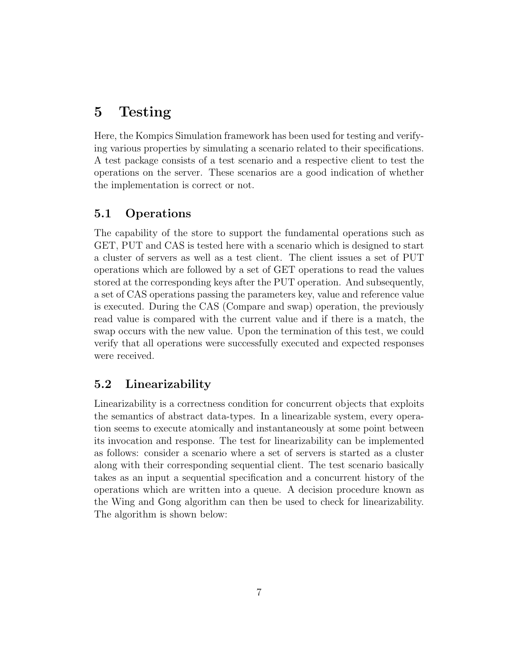### 5 Testing

Here, the Kompics Simulation framework has been used for testing and verifying various properties by simulating a scenario related to their specifications. A test package consists of a test scenario and a respective client to test the operations on the server. These scenarios are a good indication of whether the implementation is correct or not.

### 5.1 Operations

The capability of the store to support the fundamental operations such as GET, PUT and CAS is tested here with a scenario which is designed to start a cluster of servers as well as a test client. The client issues a set of PUT operations which are followed by a set of GET operations to read the values stored at the corresponding keys after the PUT operation. And subsequently, a set of CAS operations passing the parameters key, value and reference value is executed. During the CAS (Compare and swap) operation, the previously read value is compared with the current value and if there is a match, the swap occurs with the new value. Upon the termination of this test, we could verify that all operations were successfully executed and expected responses were received.

### 5.2 Linearizability

Linearizability is a correctness condition for concurrent objects that exploits the semantics of abstract data-types. In a linearizable system, every operation seems to execute atomically and instantaneously at some point between its invocation and response. The test for linearizability can be implemented as follows: consider a scenario where a set of servers is started as a cluster along with their corresponding sequential client. The test scenario basically takes as an input a sequential specification and a concurrent history of the operations which are written into a queue. A decision procedure known as the Wing and Gong algorithm can then be used to check for linearizability. The algorithm is shown below: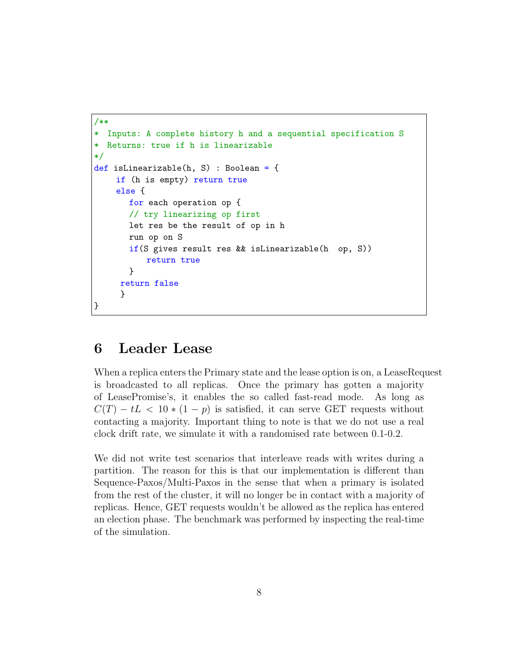```
/**
* Inputs: A complete history h and a sequential specification S
* Returns: true if h is linearizable
*/
def isLinearizable(h, S) : Boolean = {
    if (h is empty) return true
    else {
       for each operation op {
       // try linearizing op first
       let res be the result of op in h
       run op on S
       if(S gives result res && isLinearizable(h op, S))
           return true
       }
     return false
     }
}
```
### 6 Leader Lease

When a replica enters the Primary state and the lease option is on, a LeaseRequest is broadcasted to all replicas. Once the primary has gotten a majority of LeasePromise's, it enables the so called fast-read mode. As long as  $C(T) - tL < 10 * (1 - p)$  is satisfied, it can serve GET requests without contacting a majority. Important thing to note is that we do not use a real clock drift rate, we simulate it with a randomised rate between 0.1-0.2.

We did not write test scenarios that interleave reads with writes during a partition. The reason for this is that our implementation is different than Sequence-Paxos/Multi-Paxos in the sense that when a primary is isolated from the rest of the cluster, it will no longer be in contact with a majority of replicas. Hence, GET requests wouldn't be allowed as the replica has entered an election phase. The benchmark was performed by inspecting the real-time of the simulation.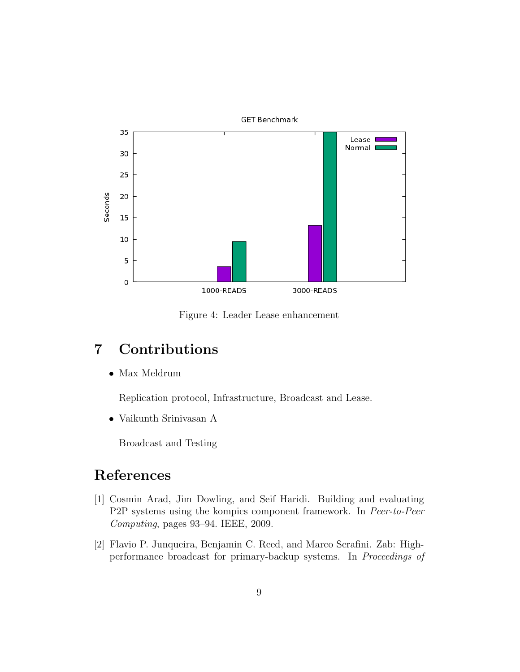

Figure 4: Leader Lease enhancement

# 7 Contributions

• Max Meldrum

Replication protocol, Infrastructure, Broadcast and Lease.

• Vaikunth Srinivasan A

Broadcast and Testing

# References

- [1] Cosmin Arad, Jim Dowling, and Seif Haridi. Building and evaluating P2P systems using the kompics component framework. In Peer-to-Peer Computing, pages 93–94. IEEE, 2009.
- [2] Flavio P. Junqueira, Benjamin C. Reed, and Marco Serafini. Zab: Highperformance broadcast for primary-backup systems. In Proceedings of